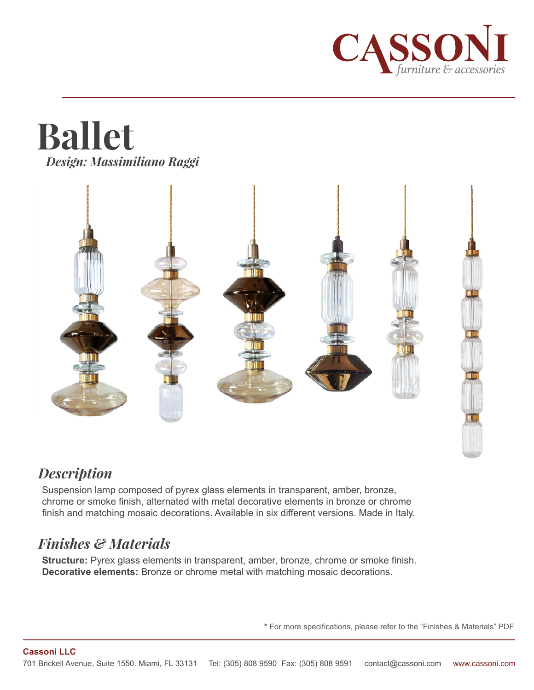

# **Ballet** *Design: Massimiliano Raggi*



# *Description*

Suspension lamp composed of pyrex glass elements in transparent, amber, bronze, chrome or smoke finish, alternated with metal decorative elements in bronze or chrome finish and matching mosaic decorations. Available in six different versions. Made in Italy.

# *Finishes & Materials*

**Structure:** Pyrex glass elements in transparent, amber, bronze, chrome or smoke finish. **Decorative elements:** Bronze or chrome metal with matching mosaic decorations.

**\*** For more specifications, please refer to the "Finishes & Materials" PDF